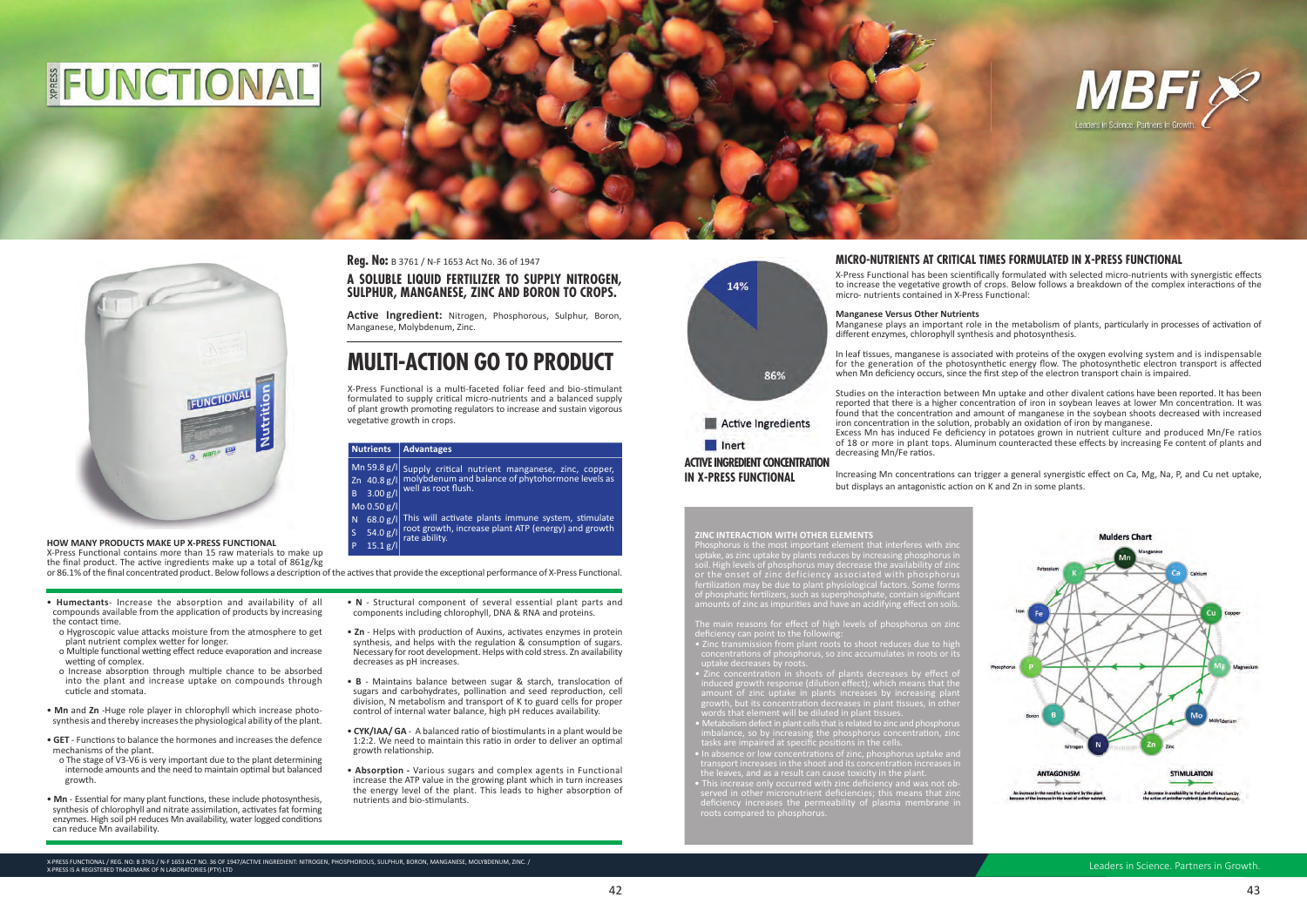## FUNCTIONAL



### HOW MANY PRODUCTS MAKE UP X-PRESS FUNCTIONAL

X-Press Functional contains more than 15 raw materials to make up the final product. The active ingredients make up a total of 861g/kg

- . Humectants- Increase the absorption and availability of all compounds available from the application of products by increasing the contact time.
- o Hygroscopic value attacks moisture from the atmosphere to get plant nutrient complex wetter for longer.
- o Multiple functional wetting effect reduce evaporation and increase wetting of complex.
- o Increase absorption through multiple chance to be absorbed into the plant and increase uptake on compounds through cuticle and stomata
- . Mn and Zn -Huge role player in chlorophyll which increase photosynthesis and thereby increases the physiological ability of the plant.
- GET Functions to balance the hormones and increases the defence mechanisms of the plant.
- o The stage of V3-V6 is very important due to the plant determining internode amounts and the need to maintain optimal but balanced growth.
- Mn Essential for many plant functions, these include photosynthesis, synthesis of chlorophyll and nitrate assimilation, activates fat forming enzymes. High soil pH reduces Mn availability, water logged conditions can reduce Mn availability.

**Reg. No:** B 3761 / N-F 1653 Act No. 36 of 1947

### A SOLUBLE LIQUID FERTILIZER TO SUPPLY NITROGEN, SULPHUR, MANGANESE, ZINC AND BORON TO CROPS.

Active Ingredient: Nitrogen, Phosphorous, Sulphur, Boron, Manganese, Molybdenum, Zinc.

### **MULTI-ACTION GO TO PRODUCT**

X-Press Functional is a multi-faceted foliar feed and bio-stimulant formulated to supply critical micro-nutrients and a balanced supply of plant growth promoting regulators to increase and sustain vigorous vegetative growth in crops.

### Nutrients Advantages

Mn 59.8 g/l Supply critical nutrient manganese, zinc, copper, Zn 40.8 g/l molybdenum and balance of phytohormone levels as well as root flush.  $B$  3.00 g/l

### Mo 0.50 g/l

N 68.0 g/l This will activate plants immune system, stimulate 54.0  $g/\sqrt{1}$  root growth, increase plant ATP (energy) and growth  $\overline{\mathsf{S}}$ 

 $15.1 g/l$ 

or 86.1% of the final concentrated product. Below follows a description of the actives that provide the exceptional performance of X-Press Functional.

- N Structural component of several essential plant parts and components including chlorophyll, DNA & RNA and proteins.
- Zn Helps with production of Auxins, activates enzymes in protein synthesis, and helps with the regulation & consumption of sugars. Necessary for root development. Helps with cold stress. Zn availability decreases as pH increases.
- B Maintains balance between sugar & starch, translocation of sugars and carbohydrates, pollination and seed reproduction, cell division, N metabolism and transport of K to guard cells for proper control of internal water balance, high pH reduces availability.
- CYK/IAA/ GA A balanced ratio of biostimulants in a plant would be 1:2:2. We need to maintain this ratio in order to deliver an optimal growth relationship.
- Absorption Various sugars and complex agents in Functional increase the ATP value in the growing plant which in turn increases the energy level of the plant. This leads to higher absorption of nutrients and bio-stimulants.



**IN X-PRESS FUNCTIONAL** 

Increasing Mn concentrations can trigger a general synergistic effect on Ca, Mg, Na, P, and Cu net uptake, but displays an antagonistic action on K and Zn in some plants.

**ZINC INTERACTION WITH OTHER ELEMENTS**<br>Phosphorus is the most important element that interferes with zin<br>uptake, as zinc uptake by plants reduces by increasing phosphorus i<br>soil. High levels of phosphorus may decrease the soil. High levels of phosphorus may decrease the availability of zir<br>or the onset of zinc deficiency associated with phosphoru<br>fertilization may be due to the U.S. associated with phosphoru lization may be due to plant physiological<br>posphatic fertilizers, such as superphosphat nosphatic tertifieers, such as superpriosphate, contain signification<br>ounts of zinc as impurities and have an acidifying effect on soil

- 
- deficiency can point to the following:<br>• Zinc transmission from plant roots to shoot reduces due to hig
- uptake decreases by roots.<br>
Zinc concentration in shoots of plants decreases by effect of<br>
induced growth response (dilution effect); which means that the<br>
amount of zinc uptake in plants increases by increasing plant<br>
gro
- 
- 
- Metabolism defect in plant cells that is related to zinc and phosphorus<br>imbalance, so by increasing the phosphorus concentration, zinc<br>tasks are impaired at specific positions in the cells.<br>• In absence or low concentrat

X-PRESS FUNCTIONAL / REG. NO: B 3761 / N-F 1653 ACT NO. 36 OF 1947/ACTIVE INGREDIENT: NITROGEN, PHOSPHOROUS, SULPHUR, BORON, MANGANESE, MOLYBDENUM, ZINC. / X-PRESS IS A REGISTERED TRADEMARK OF N LABORATORIES (PTY) LTD

### MICRO-NUTRIENTS AT CRITICAL TIMES FORMULATED IN X-PRESS FUNCTIONAL

X-Press Functional has been scientifically formulated with selected micro-nutrients with synergistic effects to increase the vegetative growth of crops. Below follows a breakdown of the complex interactions of the micro- nutrients contained in X-Press Functional:

**Manganese Versus Other Nutrients** 

In leaf tissues, manganese is associated with proteins of the oxygen evolving system and is indispensable for the generation of the photosynthetic energy flow. The photosynthetic electron transport is affected when Mn deficiency occurs, since the first step of the electron transport chain is impaired.

decreasing Mn/Fe ratios.



Manganese plays an important role in the metabolism of plants, particularly in processes of activation of different enzymes, chlorophyll synthesis and photosynthesis.

Studies on the interaction between Mn uptake and other divalent cations have been reported. It has been reported that there is a higher concentration of iron in soybean leaves at lower Mn concentration. It was found that the concentration and amount of manganese in the sovbean shoots decreased with increased iron concentration in the solution, probably an oxidation of iron by manganese.

Excess Mn has induced Fe deficiency in potatoes grown in nutrient culture and produced Mn/Fe ratios of 18 or more in plant tops. Aluminum counteracted these effects by increasing Fe content of plants and

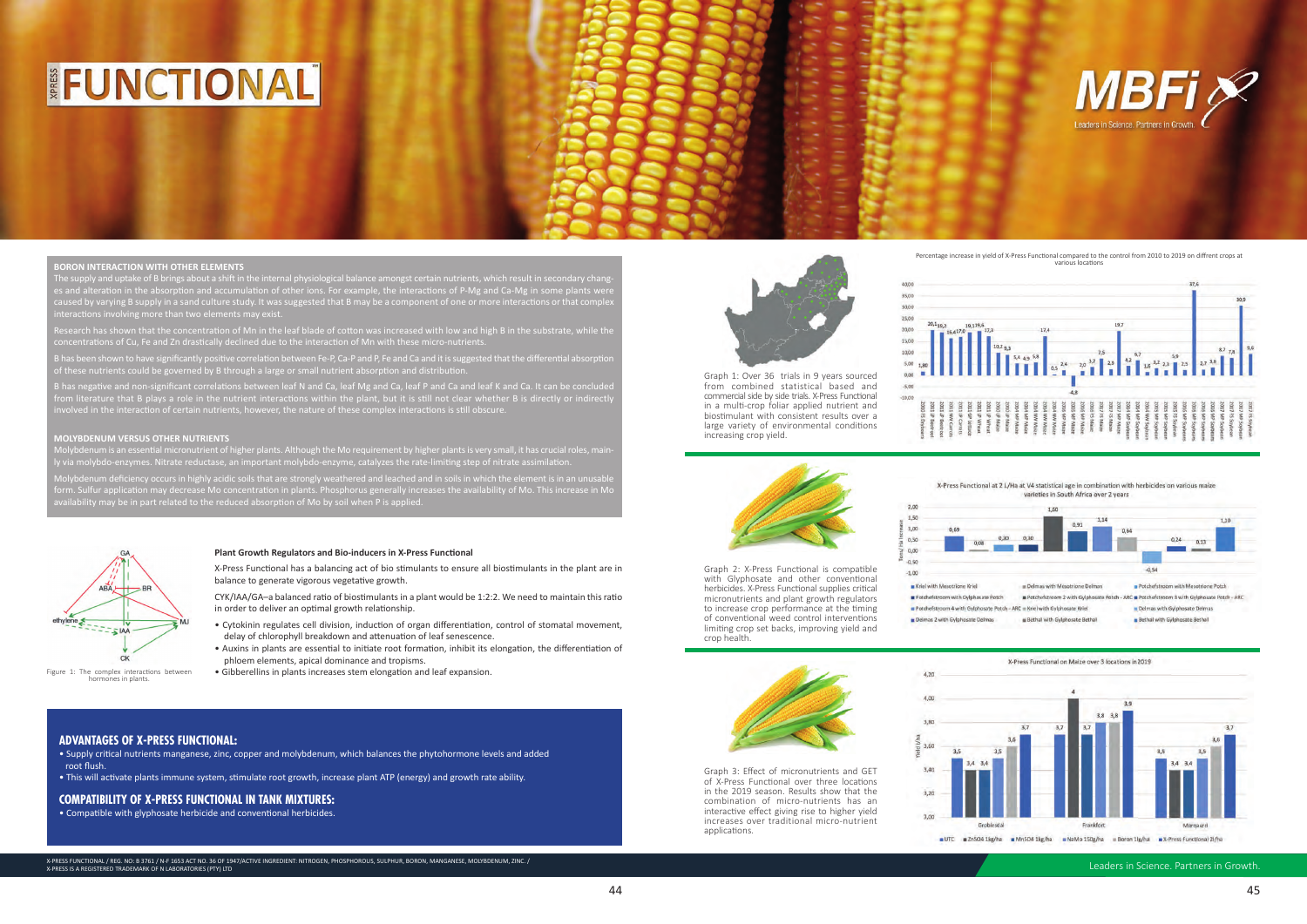Leaders in Science. Partners in Growth.

# FUNCTIONAL



### **BORON INTERACTION WITH OTHER ELEMENTS**

is and alteration in the absorption and accumulation of other ions. For example, the interactions of P-Mg and Ca-Mg in some plants wer aused by varying B supply in a sand culture study. It was suggested that B may be a component of one or more interactions or that comple ins involving more than two elements may exist

lesearch has shown that the concentration of Mn in the leaf blade of cotton was increased with low and high B in the substrate, while th concentrations of Cu, Fe and Zn drastically declined due to the interaction of Mn with these micro-nutrients.

has been shown to have significantly positive correlation between Fe-P, Ca-P and P, Fe and Ca and it is suggested that the differential absorpti f these nutrients could be governed by B through a large or small nutrient absorption and distribut

B has negative and non-significant correlations between leaf N and Ca, leaf Mg and Ca, leaf P and Ca and leaf K and Ca. It can be concluded from literature that B plays a role in the nutrient interactions within the plant, but it is still not clear whether B is directly or indirectly on incruture that B plays a role in the nutrient interactions whilm the plant, but it is sum not clear whether<br>volved in the interaction of certain nutrients, however, the nature of these complex interactions is still obsc

### **MOLYBDENUM VERSUS OTHER NUTRIENTS**

Molybdenum deficiency occurs in highly acidic soils that are strongly weathered and leached and in soils in which the element is in an unusable form. Sulfur application may decrease Mo concentration in plants. Phosphorus generally increases the availability of Mo. This increase in Mo availability may be in part related to the reduced absorption of Mo by soil when P is applied.

### **ADVANTAGES OF X-PRESS FUNCTIONAL:**

• Supply critical nutrients manganese, zinc, copper and molybdenum, which balances the phytohormone levels and added root flush.

• This will activate plants immune system, stimulate root growth, increase plant ATP (energy) and growth rate ability.

### **COMPATIBILITY OF X-PRESS FUNCTIONAL IN TANK MIXTURES:**

• Compatible with glyphosate herbicide and conventional herbicides.



biostimulant with consistent results over a large variety of environmental conditions

increasing crop yield.

30.00 25,00 20,0 15.00 from combined statistical based and commercial side by side trials. X-Press Functional in a multi-crop foliar applied nutrient and





Graph 2: X-Press Functional is compatible with Glyphosate and other conventional herbicides. X-Press Functional supplies critical micronutrients and plant growth regulators to increase crop performance at the timing of conventional weed control interventions limiting crop set backs, improving yield and crop health.

Kriel with Mesotrione Kriel Potchefstroom with Gylphosate Potch Delmas 2 with Gylphosate Delmas







40,00  $35.0$ 



Percentage increase in yield of X-Press Functional compared to the control from 2010 to 2019 on diffrent crops at various locations



X-Press Functional at 2 L/Ha at V4 statistical age in combination with herbicides on various maize varieties in South Africa over 2 years





X-Press Functional has a balancing act of bio stimulants to ensure all biostimulants in the plant are in balance to generate vigorous vegetative growth.

Plant Growth Regulators and Bio-inducers in X-Press Functional

CYK/IAA/GA-a balanced ratio of biostimulants in a plant would be 1:2:2. We need to maintain this ratio in order to deliver an optimal growth relationship.

- Cytokinin regulates cell division, induction of organ differentiation, control of stomatal movement, delay of chlorophyll breakdown and attenuation of leaf senescence.
- Auxins in plants are essential to initiate root formation, inhibit its elongation, the differentiation of phloem elements, apical dominance and tropisms.
- Gibberellins in plants increases stem elongation and leaf expansion.